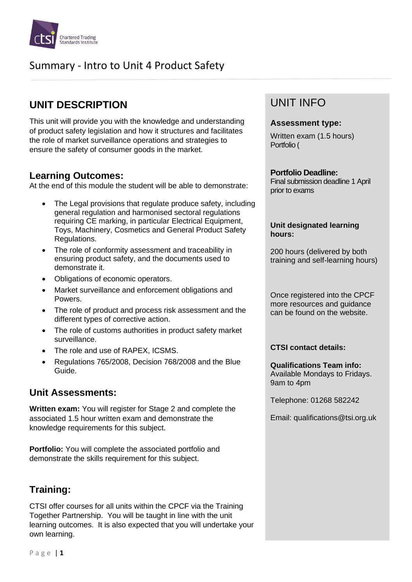

# Summary - Intro to Unit 4 Product Safety

## **UNIT DESCRIPTION**

This unit will provide you with the knowledge and understanding of product safety legislation and how it structures and facilitates the role of market surveillance operations and strategies to ensure the safety of consumer goods in the market.

### **Learning Outcomes:**

At the end of this module the student will be able to demonstrate:

- The Legal provisions that regulate produce safety, including general regulation and harmonised sectoral regulations requiring CE marking, in particular Electrical Equipment. Toys, Machinery, Cosmetics and General Product Safety Regulations.
- The role of conformity assessment and traceability in ensuring product safety, and the documents used to demonstrate it.
- Obligations of economic operators.
- Market surveillance and enforcement obligations and Powers.
- The role of product and process risk assessment and the different types of corrective action.
- The role of customs authorities in product safety market surveillance.
- The role and use of RAPEX, ICSMS.
- Regulations 765/2008, Decision 768/2008 and the Blue Guide.

### **Unit Assessments:**

**Written exam:** You will register for Stage 2 and complete the associated 1.5 hour written exam and demonstrate the knowledge requirements for this subject.

**Portfolio:** You will complete the associated portfolio and demonstrate the skills requirement for this subject.

## **Training:**

CTSI offer courses for all units within the CPCF via the Training Together Partnership. You will be taught in line with the unit learning outcomes. It is also expected that you will undertake your own learning.

## UNIT INFO

#### **Assessment type:**

Written exam (1.5 hours) Portfolio (

#### **Portfolio Deadline:**

Final submission deadline 1 April prior to exams

#### **Unit designated learning hours:**

200 hours (delivered by both training and self-learning hours)

Once registered into the CPCF more resources and guidance can be found on the website.

#### **CTSI contact details:**

**Qualifications Team info:** Available Mondays to Fridays. 9am to 4pm

Telephone: 01268 582242

Email: qualifications@tsi.org.uk